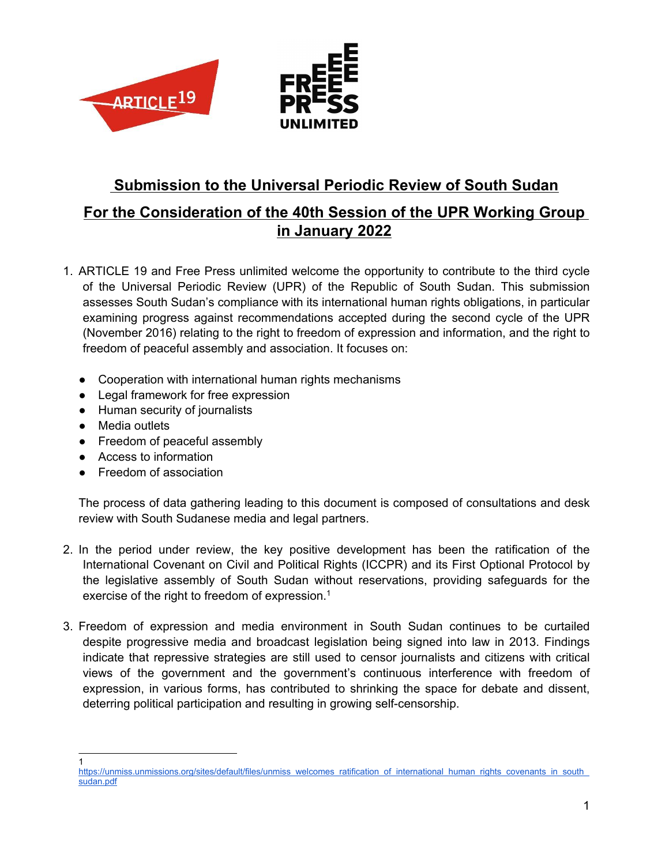

# **Submission to the Universal Periodic Review of South Sudan**

# **For the Consideration of the 40th Session of the UPR Working Group in January 2022**

- 1. ARTICLE 19 and Free Press unlimited welcome the opportunity to contribute to the third cycle of the Universal Periodic Review (UPR) of the Republic of South Sudan. This submission assesses South Sudan'<sup>s</sup> compliance with its international human rights obligations, in particular examining progress against recommendations accepted during the second cycle of the UPR (November 2016) relating to the right to freedom of expression and information, and the right to freedom of peaceful assembly and association. It focuses on:
	- Cooperation with international human rights mechanisms
	- Legal framework for free expression
	- Human security of journalists
	- Media outlets
	- Freedom of peaceful assembly
	- Access to information
	- Freedom of association

The process of data gathering leading to this document is composed of consultations and desk review with South Sudanese media and legal partners.

- 2. In the period under review, the key positive development has been the ratification of the International Covenant on Civil and Political Rights (ICCPR) and its First Optional Protocol by the legislative assembly of South Sudan without reservations, providing safeguards for the exercise of the right to freedom of expression. $^{\rm 1}$
- 3. Freedom of expression and media environment in South Sudan continues to be curtailed despite progressive media and broadcast legislation being signed into law in 2013. Findings indicate that repressive strategies are still used to censor journalists and citizens with critical views of the government and the government'<sup>s</sup> continuous interference with freedom of expression, in various forms, has contributed to shrinking the space for debate and dissent, deterring political participation and resulting in growing self-censorship.

<sup>1</sup> [https://unmiss.unmissions.org/sites/default/files/unmiss\\_welcomes\\_ratification\\_of\\_international\\_human\\_rights\\_covenants\\_in\\_south\\_](https://unmiss.unmissions.org/sites/default/files/unmiss_welcomes_ratification_of_international_human_rights_covenants_in_south_sudan.pdf) [sudan.pdf](https://unmiss.unmissions.org/sites/default/files/unmiss_welcomes_ratification_of_international_human_rights_covenants_in_south_sudan.pdf)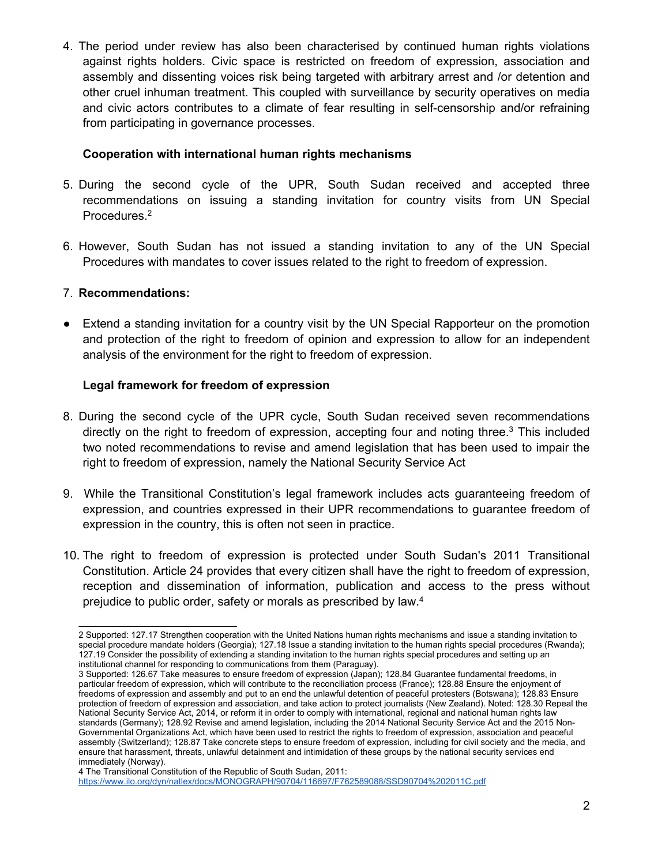4. The period under review has also been characterised by continued human rights violations against rights holders. Civic space is restricted on freedom of expression, association and assembly and dissenting voices risk being targeted with arbitrary arrest and /or detention and other cruel inhuman treatment. This coupled with surveillance by security operatives on media and civic actors contributes to <sup>a</sup> climate of fear resulting in self-censorship and/or refraining from participating in governance processes.

#### **Cooperation with international human rights mechanisms**

- 5. During the second cycle of the UPR, South Sudan received and accepted three recommendations on issuing <sup>a</sup> standing invitation for country visits from UN Special Procedures. 2
- 6. However, South Sudan has not issued <sup>a</sup> standing invitation to any of the UN Special Procedures with mandates to cover issues related to the right to freedom of expression.

### 7. **Recommendations:**

● Extend a standing invitation for a country visit by the UN Special Rapporteur on the promotion and protection of the right to freedom of opinion and expression to allow for an independent analysis of the environment for the right to freedom of expression.

### **Legal framework for freedom of expression**

- 8. During the second cycle of the UPR cycle, South Sudan received seven recommendations directly on the right to freedom of expression, accepting four and noting three.<sup>3</sup> This included two noted recommendations to revise and amend legislation that has been used to impair the right to freedom of expression, namely the National Security Service Act
- 9. While the Transitional Constitution'<sup>s</sup> legal framework includes acts guaranteeing freedom of expression, and countries expressed in their UPR recommendations to guarantee freedom of expression in the country, this is often not seen in practice.
- 10. The right to freedom of expression is protected under South Sudan's 2011 Transitional Constitution. Article 24 provides that every citizen shall have the right to freedom of expression, reception and dissemination of information, publication and access to the press without prejudice to public order, safety or morals as prescribed by law. 4

<sup>2</sup> Supported: 127.17 Strengthen cooperation with the United Nations human rights mechanisms and issue <sup>a</sup> standing invitation to special procedure mandate holders (Georgia); 127.18 Issue <sup>a</sup> standing invitation to the human rights special procedures (Rwanda); 127.19 Consider the possibility of extending <sup>a</sup> standing invitation to the human rights special procedures and setting up an institutional channel for responding to communications from them (Paraguay).

<sup>3</sup> Supported: 126.67 Take measures to ensure freedom of expression (Japan); 128.84 Guarantee fundamental freedoms, in particular freedom of expression, which will contribute to the reconciliation process (France); 128.88 Ensure the enjoyment of freedoms of expression and assembly and put to an end the unlawful detention of peaceful protesters (Botswana); 128.83 Ensure protection of freedom of expression and association, and take action to protect journalists (New Zealand). Noted: 128.30 Repeal the National Security Service Act, 2014, or reform it in order to comply with international, regional and national human rights law standards (Germany); 128.92 Revise and amend legislation, including the 2014 National Security Service Act and the 2015 Non-Governmental Organizations Act, which have been used to restrict the rights to freedom of expression, association and peaceful assembly (Switzerland); 128.87 Take concrete steps to ensure freedom of expression, including for civil society and the media, and ensure that harassment, threats, unlawful detainment and intimidation of these groups by the national security services end immediately (Norway).

<sup>4</sup> The Transitional Constitution of the Republic of South Sudan, 2011:

<https://www.ilo.org/dyn/natlex/docs/MONOGRAPH/90704/116697/F762589088/SSD90704%202011C.pdf>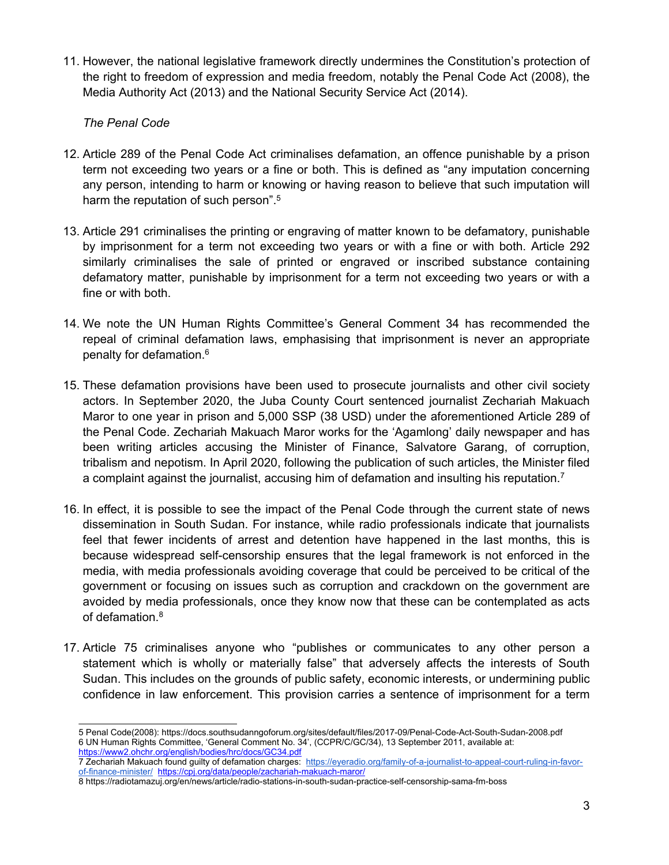11. However, the national legislative framework directly undermines the Constitution'<sup>s</sup> protection of the right to freedom of expression and media freedom, notably the Penal Code Act (2008), the Media Authority Act (2013) and the National Security Service Act (2014).

### *The Penal Code*

- 12. Article 289 of the Penal Code Act criminalises defamation, an offence punishable by <sup>a</sup> prison term not exceeding two years or <sup>a</sup> fine or both. This is defined as "any imputation concerning any person, intending to harm or knowing or having reason to believe that such imputation will harm the reputation of such person". 5
- 13. Article 291 criminalises the printing or engraving of matter known to be defamatory, punishable by imprisonment for <sup>a</sup> term not exceeding two years or with <sup>a</sup> fine or with both. Article 292 similarly criminalises the sale of printed or engraved or inscribed substance containing defamatory matter, punishable by imprisonment for <sup>a</sup> term not exceeding two years or with <sup>a</sup> fine or with both.
- 14. We note the UN Human Rights Committee'<sup>s</sup> General Comment 34 has recommended the repeal of criminal defamation laws, emphasising that imprisonment is never an appropriate penalty for defamation. 6
- 15. These defamation provisions have been used to prosecute journalists and other civil society actors. In September 2020, the Juba County Court sentenced journalist Zechariah Makuach Maror to one year in prison and 5,000 SSP (38 USD) under the aforementioned Article 289 of the Penal Code. Zechariah Makuach Maror works for the 'Agamlong' daily newspaper and has been writing articles accusing the Minister of Finance, Salvatore Garang, of corruption, tribalism and nepotism. In April 2020, following the publication of such articles, the Minister filed a complaint against the journalist, accusing him of defamation and insulting his reputation.<sup>7</sup>
- 16. In effect, it is possible to see the impact of the Penal Code through the current state of news dissemination in South Sudan. For instance, while radio professionals indicate that journalists feel that fewer incidents of arrest and detention have happened in the last months, this is because widespread self-censorship ensures that the legal framework is not enforced in the media, with media professionals avoiding coverage that could be perceived to be critical of the government or focusing on issues such as corruption and crackdown on the government are avoided by media professionals, once they know now that these can be contemplated as acts of defamation. 8
- 17. Article 75 criminalises anyone who "publishes or communicates to any other person <sup>a</sup> statement which is wholly or materially false" that adversely affects the interests of South Sudan. This includes on the grounds of public safety, economic interests, or undermining public confidence in law enforcement. This provision carries <sup>a</sup> sentence of imprisonment for <sup>a</sup> term

<sup>5</sup> Penal Code(2008): <https://docs.southsudanngoforum.org/sites/default/files/2017-09/Penal-Code-Act-South-Sudan-2008.pdf> 6 UN Human Rights Committee, 'General Comment No. 34', (CCPR/C/GC/34), 13 September 2011, available at: <https://www2.ohchr.org/english/bodies/hrc/docs/GC34.pdf>

<sup>7</sup> Zechariah Makuach found guilty of defamation charges: [https://eyeradio.org/family-of-a-journalist-to-appeal-court-ruling-in-favor](https://eyeradio.org/family-of-a-journalist-to-appeal-court-ruling-in-favor-of-finance-minister/)[of-finance-minister/](https://eyeradio.org/family-of-a-journalist-to-appeal-court-ruling-in-favor-of-finance-minister/) <https://cpj.org/data/people/zachariah-makuach-maror/>

<sup>8</sup> https://radiotamazuj.org/en/news/article/radio-stations-in-south-sudan-practice-self-censorship-sama-fm-boss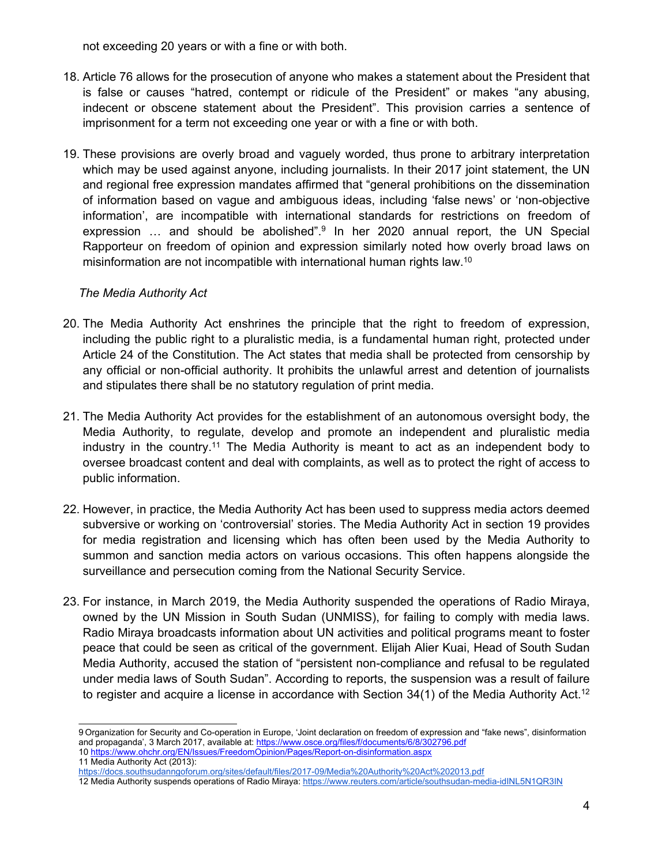not exceeding 20 years or with <sup>a</sup> fine or with both.

- 18. Article 76 allows for the prosecution of anyone who makes <sup>a</sup> statement about the President that is false or causes "hatred, contempt or ridicule of the President" or makes "any abusing, indecent or obscene statement about the President". This provision carries <sup>a</sup> sentence of imprisonment for <sup>a</sup> term not exceeding one year or with <sup>a</sup> fine or with both.
- 19. These provisions are overly broad and vaguely worded, thus prone to arbitrary interpretation which may be used against anyone, including journalists. In their 2017 joint statement, the UN and regional free expression mandates affirmed that "general prohibitions on the dissemination of information based on vague and ambiguous ideas, including 'false news' or 'non-objective information', are incompatible with international standards for restrictions on freedom of expression … and should be abolished".<sup>9</sup> In her 2020 annual report, the UN Special Rapporteur on freedom of opinion and expression similarly noted how overly broad laws on misinformation are not incompatible with international human rights law. $^{\mathsf{10}}$

#### *The Media Authority Act*

- 20. The Media Authority Act enshrines the principle that the right to freedom of expression, including the public right to <sup>a</sup> pluralistic media, is <sup>a</sup> fundamental human right, protected under Article 24 of the Constitution. The Act states that media shall be protected from censorship by any official or non-official authority. It prohibits the unlawful arrest and detention of journalists and stipulates there shall be no statutory regulation of print media.
- 21. The Media Authority Act provides for the establishment of an autonomous oversight body, the Media Authority, to regulate, develop and promote an independent and pluralistic media industry in the country.<sup>11</sup> The Media Authority is meant to act as an independent body to oversee broadcast content and deal with complaints, as well as to protect the right of access to public information.
- 22. However, in practice, the Media Authority Act has been used to suppress media actors deemed subversive or working on 'controversial' stories. The Media Authority Act in section 19 provides for media registration and licensing which has often been used by the Media Authority to summon and sanction media actors on various occasions. This often happens alongside the surveillance and persecution coming from the National Security Service.
- 23. For instance, in March 2019, the Media Authority suspended the operations of Radio Miraya, owned by the UN Mission in South Sudan (UNMISS), for failing to comply with media laws. Radio Miraya broadcasts information about UN activities and political programs meant to foster peace that could be seen as critical of the government. Elijah Alier Kuai, Head of South Sudan Media Authority, accused the station of "persistent non-compliance and refusal to be regulated under media laws of South Sudan". According to reports, the suspension was <sup>a</sup> result of failure to register and acquire a license in accordance with Section 34(1) of the Media Authority Act.<sup>12</sup>

<sup>9</sup> Organization for Security and Co-operation in Europe, 'Joint declaration on freedom of expression and "fake news", disinformation and propaganda', 3 March 2017, available at: <https://www.osce.org/files/f/documents/6/8/302796.pdf> 10 <https://www.ohchr.org/EN/Issues/FreedomOpinion/Pages/Report-on-disinformation.aspx>

<sup>11</sup> Media Authority Act (2013):

<https://docs.southsudanngoforum.org/sites/default/files/2017-09/Media%20Authority%20Act%202013.pdf>

<sup>12</sup> Media Authority suspends operations of Radio Miraya: <https://www.reuters.com/article/southsudan-media-idINL5N1QR3IN>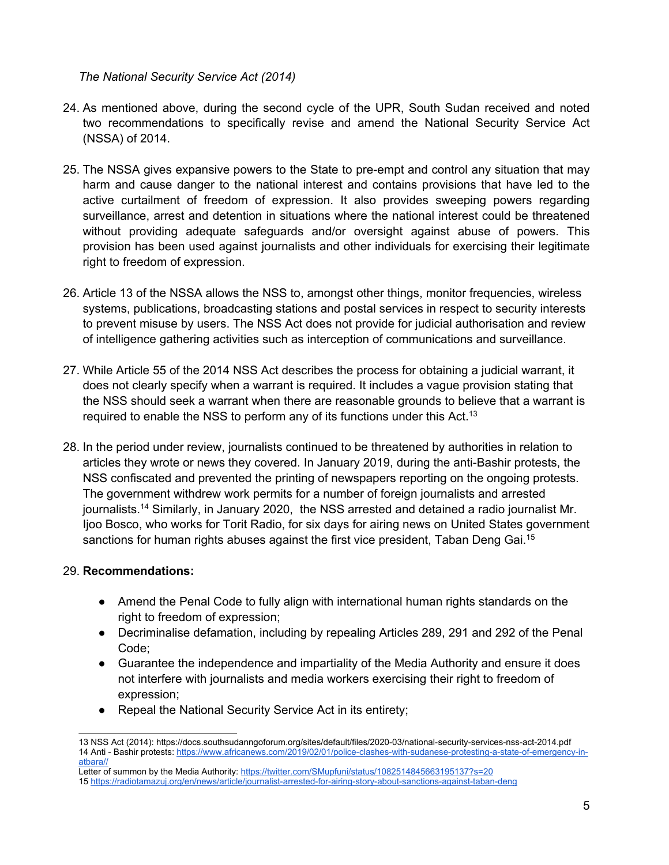*The National Security Service Act (2014)*

- 24. As mentioned above, during the second cycle of the UPR, South Sudan received and noted two recommendations to specifically revise and amend the National Security Service Act (NSSA) of 2014.
- 25. The NSSA gives expansive powers to the State to pre-empt and control any situation that may harm and cause danger to the national interest and contains provisions that have led to the active curtailment of freedom of expression. It also provides sweeping powers regarding surveillance, arrest and detention in situations where the national interest could be threatened without providing adequate safeguards and/or oversight against abuse of powers. This provision has been used against journalists and other individuals for exercising their legitimate right to freedom of expression.
- 26. Article 13 of the NSSA allows the NSS to, amongst other things, monitor frequencies, wireless systems, publications, broadcasting stations and postal services in respect to security interests to prevent misuse by users. The NSS Act does not provide for judicial authorisation and review of intelligence gathering activities such as interception of communications and surveillance.
- 27. While Article 55 of the 2014 NSS Act describes the process for obtaining <sup>a</sup> judicial warrant, it does not clearly specify when <sup>a</sup> warrant is required. It includes <sup>a</sup> vague provision stating that the NSS should seek <sup>a</sup> warrant when there are reasonable grounds to believe that <sup>a</sup> warrant is required to enable the NSS to perform any of its functions under this Act.<sup>13</sup>
- 28. In the period under review, journalists continued to be threatened by authorities in relation to articles they wrote or news they covered. In January 2019, during the anti-Bashir protests, the NSS confiscated and prevented the printing of newspapers reporting on the ongoing protests. The government withdrew work permits for <sup>a</sup> number of foreign journalists and arrested journalists. <sup>14</sup> Similarly, in January 2020, the NSS arrested and detained <sup>a</sup> radio journalist Mr. Ijoo Bosco, who works for Torit Radio, for six days for airing news on United States government sanctions for human rights abuses against the first vice president, Taban Deng Gai.<sup>15</sup>

## 29. **Recommendations:**

- Amend the Penal Code to fully align with international human rights standards on the right to freedom of expression;
- Decriminalise defamation, including by repealing Articles 289, 291 and 292 of the Penal Code;
- $\bullet$  Guarantee the independence and impartiality of the Media Authority and ensure it does not interfere with journalists and media workers exercising their right to freedom of expression;
- Repeal the National Security Service Act in its entirety;

<sup>13</sup> NSS Act (2014): https://docs.southsudanngoforum.org/sites/default/files/2020-03/national-security-services-nss-act-2014.pdf 14 Anti - Bashir protests: [https://www.africanews.com/2019/02/01/police-clashes-with-sudanese-protesting-a-state-of-emergency-in](https://www.africanews.com/2019/02/01/police-clashes-with-sudanese-protesting-a-state-of-emergency-in-atbara//)[atbara//](https://www.africanews.com/2019/02/01/police-clashes-with-sudanese-protesting-a-state-of-emergency-in-atbara//)

Letter of summon by the Media Authority: <https://twitter.com/SMupfuni/status/1082514845663195137?s=20> 15 <https://radiotamazuj.org/en/news/article/journalist-arrested-for-airing-story-about-sanctions-against-taban-deng>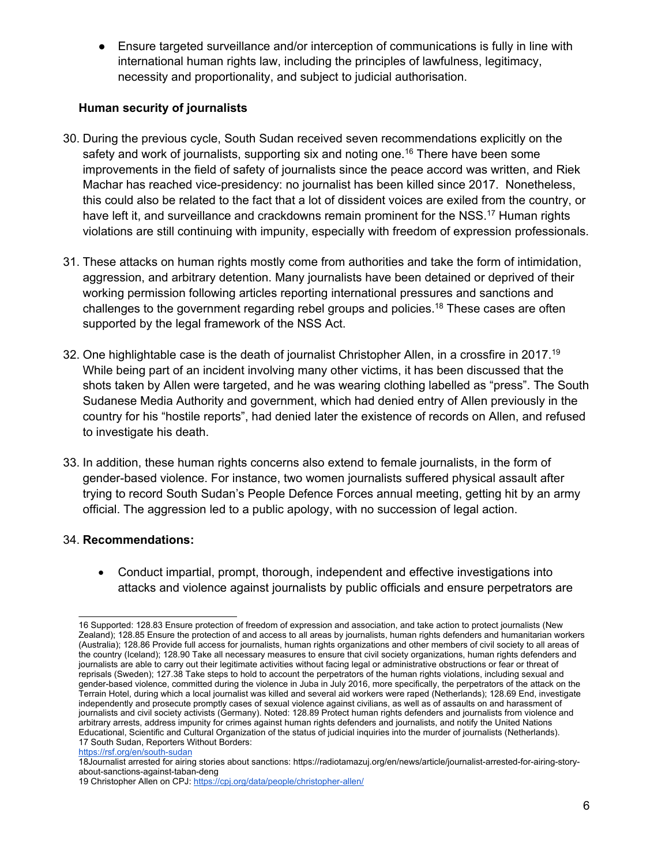● Ensure targeted surveillance and/or interception of communications is fully in line with international human rights law, including the principles of lawfulness, legitimacy, necessity and proportionality, and subject to judicial authorisation.

## **Human security of journalists**

- 30. During the previous cycle, South Sudan received seven recommendations explicitly on the safety and work of journalists, supporting six and noting one. 16 There have been some improvements in the field of safety of journalists since the peace accord was written, and Riek Machar has reached vice-presidency: no journalist has been killed since 2017. Nonetheless, this could also be related to the fact that <sup>a</sup> lot of dissident voices are exiled from the country, or have left it, and surveillance and crackdowns remain prominent for the NSS.<sup>17</sup> Human rights violations are still continuing with impunity, especially with freedom of expression professionals.
- 31. These attacks on human rights mostly come from authorities and take the form of intimidation, aggression, and arbitrary detention. Many journalists have been detained or deprived of their working permission following articles reporting international pressures and sanctions and challenges to the government regarding rebel groups and policies. 18 These cases are often supported by the legal framework of the NSS Act.
- 32. One highlightable case is the death of journalist Christopher Allen, in <sup>a</sup> crossfire in 2017. 19 While being part of an incident involving many other victims, it has been discussed that the shots taken by Allen were targeted, and he was wearing clothing labelled as "press". The South Sudanese Media Authority and government, which had denied entry of Allen previously in the country for his "hostile reports", had denied later the existence of records on Allen, and refused to investigate his death.
- 33. In addition, these human rights concerns also extend to female journalists, in the form of gender-based violence. For instance, two women journalists suffered physical assault after trying to record South Sudan'<sup>s</sup> People Defence Forces annual meeting, getting hit by an army official. The aggression led to <sup>a</sup> public apology, with no succession of legal action.

## 34. **Recommendations:**

 Conduct impartial, prompt, thorough, independent and effective investigations into attacks and violence against journalists by public officials and ensure perpetrators are

<sup>16</sup> Supported: 128.83 Ensure protection of freedom of expression and association, and take action to protect journalists (New Zealand); 128.85 Ensure the protection of and access to all areas by journalists, human rights defenders and humanitarian workers (Australia); 128.86 Provide full access for journalists, human rights organizations and other members of civil society to all areas of the country (Iceland); 128.90 Take all necessary measures to ensure that civil society organizations, human rights defenders and journalists are able to carry out their legitimate activities without facing legal or administrative obstructions or fear or threat of reprisals (Sweden); 127.38 Take steps to hold to account the perpetrators of the human rights violations, including sexual and gender-based violence, committed during the violence in Juba in July 2016, more specifically, the perpetrators of the attack on the Terrain Hotel, during which <sup>a</sup> local journalist was killed and several aid workers were raped (Netherlands); 128.69 End, investigate independently and prosecute promptly cases of sexual violence against civilians, as well as of assaults on and harassment of journalists and civil society activists (Germany). Noted: 128.89 Protect human rights defenders and journalists from violence and arbitrary arrests, address impunity for crimes against human rights defenders and journalists, and notify the United Nations Educational, Scientific and Cultural Organization of the status of judicial inquiries into the murder of journalists (Netherlands). 17 South Sudan, Reporters Without Borders:

<https://rsf.org/en/south-sudan>

<sup>18</sup>Journalist arrested for airing stories about sanctions: [https://radiotamazuj.org/en/news/article/journalist-arrested-for-airing-story](https://radiotamazuj.org/en/news/article/journalist-arrested-for-airing-story-about-sanctions-against-taban-deng)[about-sanctions-against-taban-deng](https://radiotamazuj.org/en/news/article/journalist-arrested-for-airing-story-about-sanctions-against-taban-deng)

<sup>19</sup> Christopher Allen on CPJ: <https://cpj.org/data/people/christopher-allen/>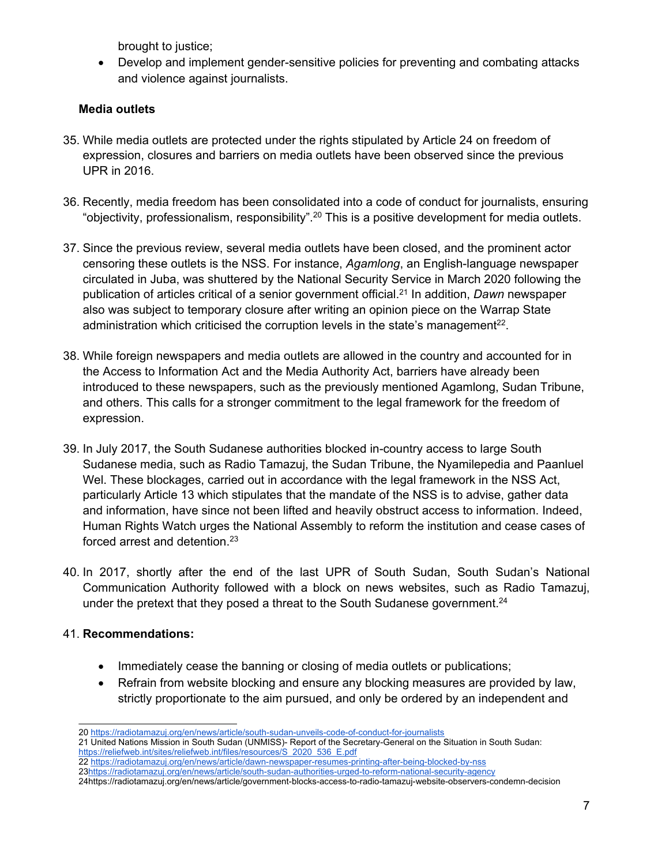brought to justice;

 Develop and implement gender-sensitive policies for preventing and combating attacks and violence against journalists.

## **Media outlets**

- 35. While media outlets are protected under the rights stipulated by Article 24 on freedom of expression, closures and barriers on media outlets have been observed since the previous UPR in 2016.
- 36. Recently, media freedom has been consolidated into <sup>a</sup> code of conduct for journalists, ensuring "objectivity, professionalism, responsibility". $^\mathrm{20}$  This is a positive development for media outlets.
- 37. Since the previous review, several media outlets have been closed, and the prominent actor censoring these outlets is the NSS. For instance, *Agamlong*, an English-language newspaper circulated in Juba, was shuttered by the National Security Service in March 2020 following the publication of articles critical of <sup>a</sup> senior government official. 21 In addition, *Dawn* newspaper also was subject to temporary closure after writing an opinion piece on the Warrap State administration which criticised the corruption levels in the state's management $^{\rm 22}$ .
- 38. While foreign newspapers and media outlets are allowed in the country and accounted for in the Access to Information Act and the Media Authority Act, barriers have already been introduced to these newspapers, such as the previously mentioned Agamlong, Sudan Tribune, and others. This calls for <sup>a</sup> stronger commitment to the legal framework for the freedom of expression.
- 39. In July 2017, the South Sudanese authorities blocked in-country access to large South Sudanese media, such as Radio Tamazuj, the Sudan Tribune, the Nyamilepedia and Paanluel Wel. These blockages, carried out in accordance with the legal framework in the NSS Act, particularly Article 13 which stipulates that the mandate of the NSS is to advise, gather data and information, have since not been lifted and heavily obstruct access to information. Indeed, Human Rights Watch urges the National Assembly to reform the institution and cease cases of forced arrest and detention. 23
- 40. In 2017, shortly after the end of the last UPR of South Sudan, South Sudan'<sup>s</sup> National Communication Authority followed with <sup>a</sup> block on news websites, such as Radio Tamazuj, under the pretext that they posed <sup>a</sup> threat to the South Sudanese government. 24

## 41. **Recommendations:**

- Immediately cease the banning or closing of media outlets or publications;
- Refrain from website blocking and ensure any blocking measures are provided by law, strictly proportionate to the aim pursued, and only be ordered by an independent and

22 <https://radiotamazuj.org/en/news/article/dawn-newspaper-resumes-printing-after-being-blocked-by-nss> 23<https://radiotamazuj.org/en/news/article/south-sudan-authorities-urged-to-reform-national-security-agency>

<sup>20</sup> <https://radiotamazuj.org/en/news/article/south-sudan-unveils-code-of-conduct-for-journalists>

<sup>21</sup> United Nations Mission in South Sudan (UNMISS)- Report of the Secretary-General on the Situation in South Sudan: [https://reliefweb.int/sites/reliefweb.int/files/resources/S\\_2020\\_536\\_E.pdf](https://reliefweb.int/sites/reliefweb.int/files/resources/S_2020_536_E.pdf)

<sup>24</sup>https://radiotamazuj.org/en/news/article/government-blocks-access-to-radio-tamazuj-website-observers-condemn-decision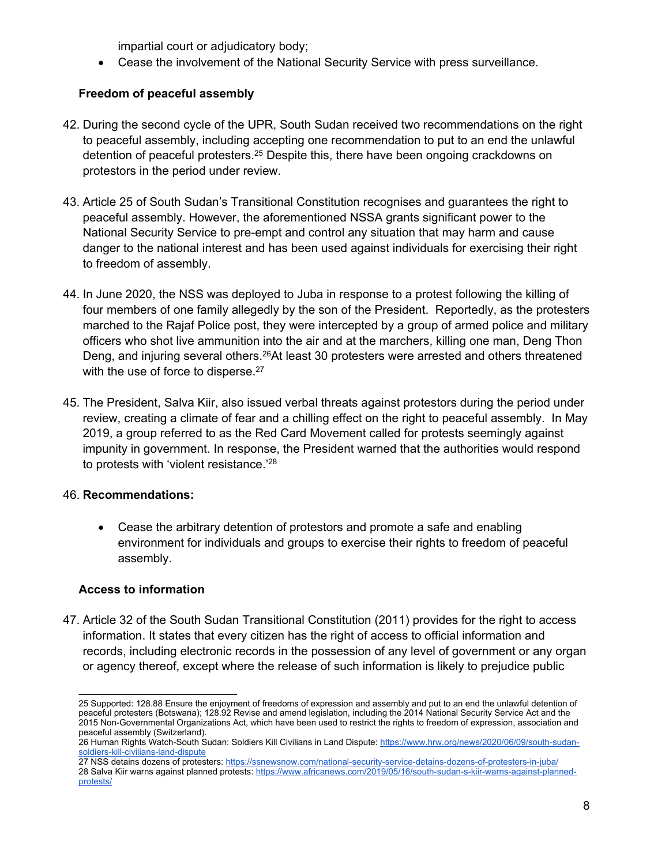impartial court or adjudicatory body;

Cease the involvement of the National Security Service with press surveillance.

# **Freedom of peaceful assembly**

- 42. During the second cycle of the UPR, South Sudan received two recommendations on the right to peaceful assembly, including accepting one recommendation to put to an end the unlawful detention of peaceful protesters.<sup>25</sup> Despite this, there have been ongoing crackdowns on protestors in the period under review.
- 43. Article 25 of South Sudan'<sup>s</sup> Transitional Constitution recognises and guarantees the right to peaceful assembly. However, the aforementioned NSSA grants significant power to the National Security Service to pre-empt and control any situation that may harm and cause danger to the national interest and has been used against individuals for exercising their right to freedom of assembly.
- 44. In June 2020, the NSS was deployed to Juba in response to <sup>a</sup> protest following the killing of four members of one family allegedly by the son of the President. Reportedly, as the protesters marched to the Rajaf Police post, they were intercepted by <sup>a</sup> group of armed police and military officers who shot live ammunition into the air and at the marchers, killing one man, Deng Thon Deng, and injuring several others.<sup>26</sup>At least 30 protesters were arrested and others threatened with the use of force to disperse.<sup>27</sup>
- 45. The President, Salva Kiir, also issued verbal threats against protestors during the period under review, creating <sup>a</sup> climate of fear and <sup>a</sup> chilling effect on the right to peaceful assembly. In May 2019, <sup>a</sup> group referred to as the Red Card Movement called for protests seemingly against impunity in government. In response, the President warned that the authorities would respond to protests with 'violent resistance.' 28

## 46. **Recommendations:**

 Cease the arbitrary detention of protestors and promote <sup>a</sup> safe and enabling environment for individuals and groups to exercise their rights to freedom of peaceful assembly.

## **Access to information**

47. Article 32 of the South Sudan Transitional Constitution (2011) provides for the right to access information. It states that every citizen has the right of access to official information and records, including electronic records in the possession of any level of government or any organ or agency thereof, except where the release of such information is likely to prejudice public

<sup>25</sup> Supported: 128.88 Ensure the enjoyment of freedoms of expression and assembly and put to an end the unlawful detention of peaceful protesters (Botswana); 128.92 Revise and amend legislation, including the 2014 National Security Service Act and the 2015 Non-Governmental Organizations Act, which have been used to restrict the rights to freedom of expression, association and peaceful assembly (Switzerland).

<sup>26</sup> Human Rights Watch-South Sudan: Soldiers Kill Civilians in Land Dispute: [https://www.hrw.org/news/2020/06/09/south-sudan](https://www.hrw.org/news/2020/06/09/south-sudan-soldiers-kill-civilians-land-dispute)[soldiers-kill-civilians-land-dispute](https://www.hrw.org/news/2020/06/09/south-sudan-soldiers-kill-civilians-land-dispute)

<sup>27</sup> NSS detains dozens of protesters: <https://ssnewsnow.com/national-security-service-detains-dozens-of-protesters-in-juba/> 28 Salva Kiir warns against planned protests: [https://www.africanews.com/2019/05/16/south-sudan-s-kiir-warns-against-planned](https://www.africanews.com/2019/05/16/south-sudan-s-kiir-warns-against-planned-protests/)[protests/](https://www.africanews.com/2019/05/16/south-sudan-s-kiir-warns-against-planned-protests/)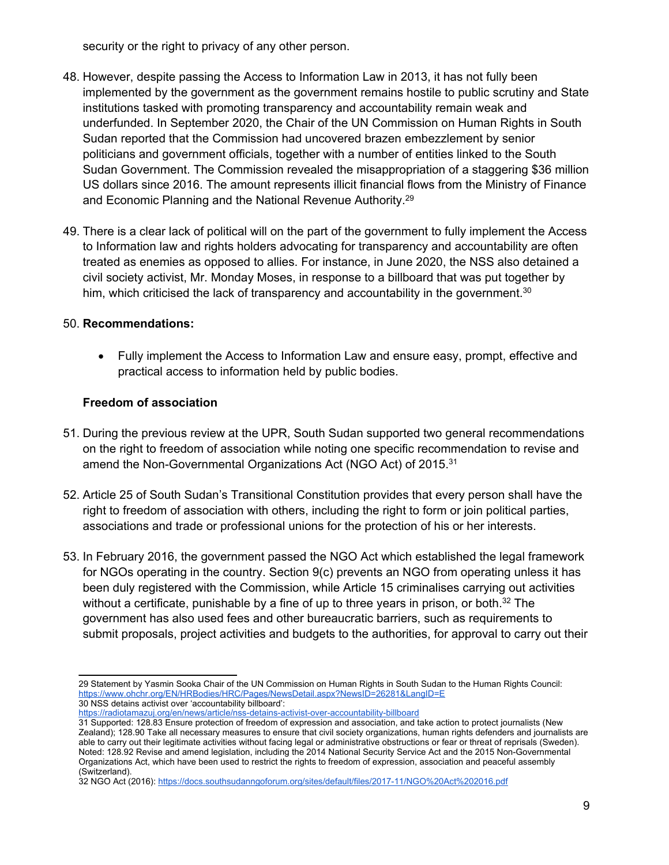security or the right to privacy of any other person.

- 48. However, despite passing the Access to Information Law in 2013, it has not fully been implemented by the government as the government remains hostile to public scrutiny and State institutions tasked with promoting transparency and accountability remain weak and underfunded. In September 2020, the Chair of the UN Commission on Human Rights in South Sudan reported that the Commission had uncovered brazen embezzlement by senior politicians and government officials, together with <sup>a</sup> number of entities linked to the South Sudan Government. The Commission revealed the misappropriation of <sup>a</sup> staggering \$36 million US dollars since 2016. The amount represents illicit financial flows from the Ministry of Finance and Economic Planning and the National Revenue Authority. 29
- 49. There is <sup>a</sup> clear lack of political will on the part of the government to fully implement the Access to Information law and rights holders advocating for transparency and accountability are often treated as enemies as opposed to allies. For instance, in June 2020, the NSS also detained <sup>a</sup> civil society activist, Mr. Monday Moses, in response to <sup>a</sup> billboard that was put together by him, which criticised the lack of transparency and accountability in the government. $^{\rm 30}$

## 50. **Recommendations:**

 Fully implement the Access to Information Law and ensure easy, prompt, effective and practical access to information held by public bodies.

## **Freedom of association**

- 51. During the previous review at the UPR, South Sudan supported two general recommendations on the right to freedom of association while noting one specific recommendation to revise and amend the Non-Governmental Organizations Act (NGO Act) of 2015. $^{\rm 31}$
- 52. Article 25 of South Sudan'<sup>s</sup> Transitional Constitution provides that every person shall have the right to freedom of association with others, including the right to form or join political parties, associations and trade or professional unions for the protection of his or her interests.
- 53. In February 2016, the government passed the NGO Act which established the legal framework for NGOs operating in the country. Section 9(c) prevents an NGO from operating unless it has been duly registered with the Commission, while Article 15 criminalises carrying out activities without <sup>a</sup> certificate, punishable by <sup>a</sup> fine of up to three years in prison, or both. 32 The government has also used fees and other bureaucratic barriers, such as requirements to submit proposals, project activities and budgets to the authorities, for approval to carry out their

<sup>29</sup> Statement by Yasmin Sooka Chair of the UN Commission on Human Rights in South Sudan to the Human Rights Council: <https://www.ohchr.org/EN/HRBodies/HRC/Pages/NewsDetail.aspx?NewsID=26281&LangID=E> 30 NSS detains activist over 'accountability billboard':

<https://radiotamazuj.org/en/news/article/nss-detains-activist-over-accountability-billboard>

<sup>31</sup> Supported: 128.83 Ensure protection of freedom of expression and association, and take action to protect journalists (New Zealand); 128.90 Take all necessary measures to ensure that civil society organizations, human rights defenders and journalists are able to carry out their legitimate activities without facing legal or administrative obstructions or fear or threat of reprisals (Sweden). Noted: 128.92 Revise and amend legislation, including the 2014 National Security Service Act and the 2015 Non-Governmental Organizations Act, which have been used to restrict the rights to freedom of expression, association and peaceful assembly (Switzerland).

<sup>32</sup> NGO Act (2016): <https://docs.southsudanngoforum.org/sites/default/files/2017-11/NGO%20Act%202016.pdf>